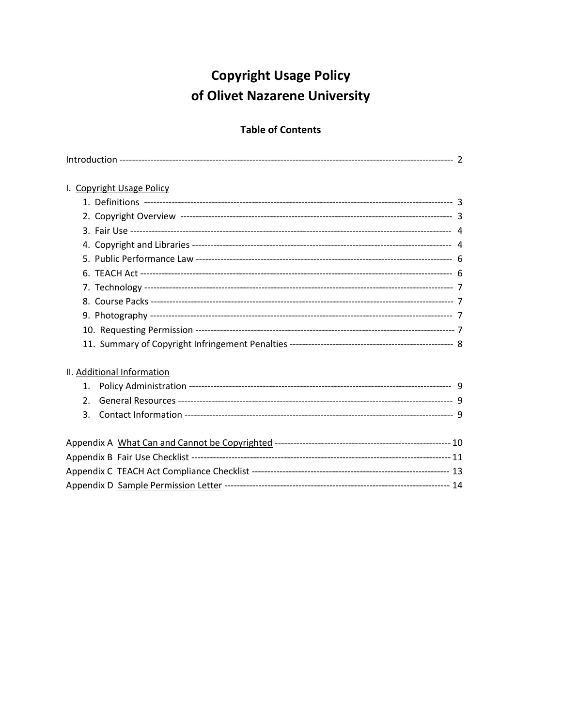# **Copyright Usage Policy** of Olivet Nazarene University

## **Table of Contents**

| I. Copyright Usage Policy  |  |
|----------------------------|--|
|                            |  |
|                            |  |
|                            |  |
|                            |  |
|                            |  |
|                            |  |
|                            |  |
|                            |  |
|                            |  |
|                            |  |
|                            |  |
| II. Additional Information |  |
| 1.                         |  |
| $\mathcal{P}_{\cdot}$      |  |
| 3.                         |  |
|                            |  |
|                            |  |
|                            |  |
|                            |  |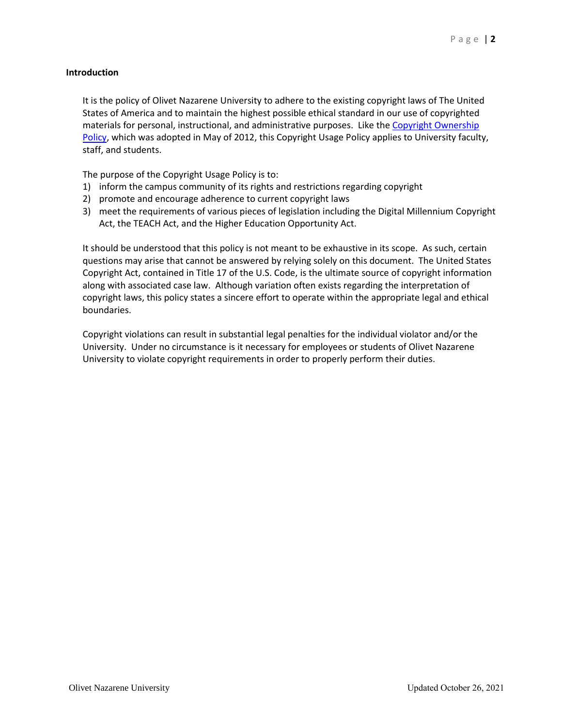## **Introduction**

It is the policy of Olivet Nazarene University to adhere to the existing copyright laws of The United States of America and to maintain the highest possible ethical standard in our use of copyrighted materials for personal, instructional, and administrative purposes. Like the Copyright Ownership [Policy,](http://library.olivet.edu/services/copyright/doc/copyright_ownership.pdf) which was adopted in May of 2012, this Copyright Usage Policy applies to University faculty, staff, and students.

The purpose of the Copyright Usage Policy is to:

- 1) inform the campus community of its rights and restrictions regarding copyright
- 2) promote and encourage adherence to current copyright laws
- 3) meet the requirements of various pieces of legislation including the Digital Millennium Copyright Act, the TEACH Act, and the Higher Education Opportunity Act.

It should be understood that this policy is not meant to be exhaustive in its scope. As such, certain questions may arise that cannot be answered by relying solely on this document. The United States Copyright Act, contained in Title 17 of the U.S. Code, is the ultimate source of copyright information along with associated case law. Although variation often exists regarding the interpretation of copyright laws, this policy states a sincere effort to operate within the appropriate legal and ethical boundaries.

Copyright violations can result in substantial legal penalties for the individual violator and/or the University. Under no circumstance is it necessary for employees or students of Olivet Nazarene University to violate copyright requirements in order to properly perform their duties.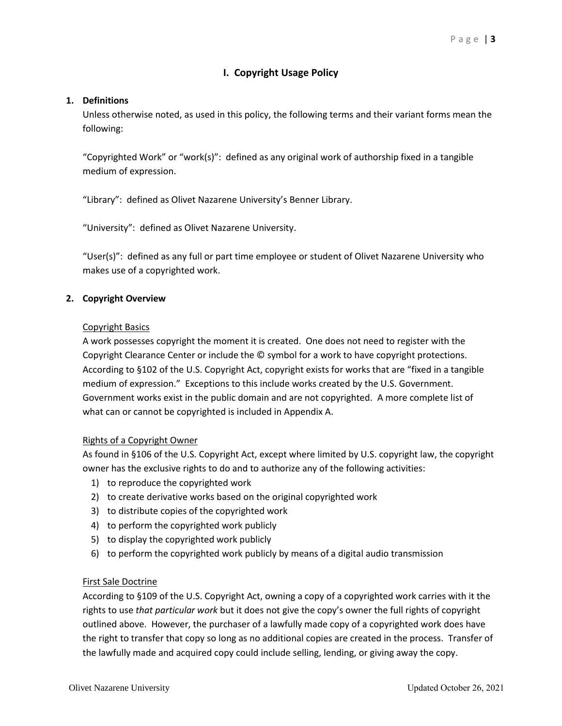## **I. Copyright Usage Policy**

## **1. Definitions**

Unless otherwise noted, as used in this policy, the following terms and their variant forms mean the following:

"Copyrighted Work" or "work(s)": defined as any original work of authorship fixed in a tangible medium of expression.

"Library": defined as Olivet Nazarene University's Benner Library.

"University": defined as Olivet Nazarene University.

"User(s)": defined as any full or part time employee or student of Olivet Nazarene University who makes use of a copyrighted work.

## **2. Copyright Overview**

## Copyright Basics

A work possesses copyright the moment it is created. One does not need to register with the Copyright Clearance Center or include the © symbol for a work to have copyright protections. According to §102 of the U.S. Copyright Act, copyright exists for works that are "fixed in a tangible medium of expression." Exceptions to this include works created by the U.S. Government. Government works exist in the public domain and are not copyrighted. A more complete list of what can or cannot be copyrighted is included in Appendix A.

## Rights of a Copyright Owner

As found in §106 of the U.S. Copyright Act, except where limited by U.S. copyright law, the copyright owner has the exclusive rights to do and to authorize any of the following activities:

- 1) to reproduce the copyrighted work
- 2) to create derivative works based on the original copyrighted work
- 3) to distribute copies of the copyrighted work
- 4) to perform the copyrighted work publicly
- 5) to display the copyrighted work publicly
- 6) to perform the copyrighted work publicly by means of a digital audio transmission

## First Sale Doctrine

According to §109 of the U.S. Copyright Act, owning a copy of a copyrighted work carries with it the rights to use *that particular work* but it does not give the copy's owner the full rights of copyright outlined above. However, the purchaser of a lawfully made copy of a copyrighted work does have the right to transfer that copy so long as no additional copies are created in the process. Transfer of the lawfully made and acquired copy could include selling, lending, or giving away the copy.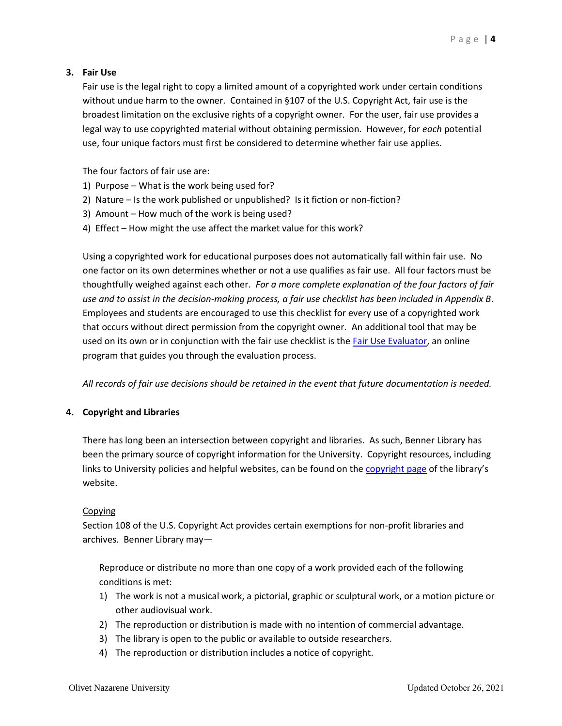## **3. Fair Use**

Fair use is the legal right to copy a limited amount of a copyrighted work under certain conditions without undue harm to the owner. Contained in §107 of the U.S. Copyright Act, fair use is the broadest limitation on the exclusive rights of a copyright owner. For the user, fair use provides a legal way to use copyrighted material without obtaining permission. However, for *each* potential use, four unique factors must first be considered to determine whether fair use applies.

The four factors of fair use are:

- 1) Purpose What is the work being used for?
- 2) Nature Is the work published or unpublished? Is it fiction or non-fiction?
- 3) Amount How much of the work is being used?
- 4) Effect How might the use affect the market value for this work?

Using a copyrighted work for educational purposes does not automatically fall within fair use. No one factor on its own determines whether or not a use qualifies as fair use. All four factors must be thoughtfully weighed against each other. *For a more complete explanation of the four factors of fair use and to assist in the decision-making process, a fair use checklist has been included in Appendix B*. Employees and students are encouraged to use this checklist for every use of a copyrighted work that occurs without direct permission from the copyright owner. An additional tool that may be used on its own or in conjunction with the fair use checklist is the [Fair Use Evaluator,](http://librarycopyright.net/resources/fairuse/) an online program that guides you through the evaluation process.

*All records of fair use decisions should be retained in the event that future documentation is needed.*

## **4. Copyright and Libraries**

There has long been an intersection between copyright and libraries. As such, Benner Library has been the primary source of copyright information for the University. Copyright resources, including links to University policies and helpful websites, can be found on th[e copyright page](http://library.olivet.edu/services/copyright/index.php) of the library's website.

## Copying

Section 108 of the U.S. Copyright Act provides certain exemptions for non-profit libraries and archives. Benner Library may—

Reproduce or distribute no more than one copy of a work provided each of the following conditions is met:

- 1) The work is not a musical work, a pictorial, graphic or sculptural work, or a motion picture or other audiovisual work.
- 2) The reproduction or distribution is made with no intention of commercial advantage.
- 3) The library is open to the public or available to outside researchers.
- 4) The reproduction or distribution includes a notice of copyright.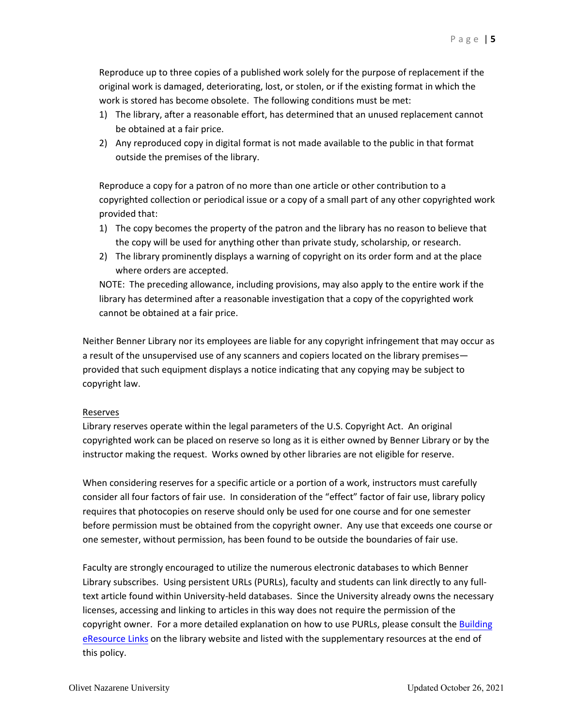Reproduce up to three copies of a published work solely for the purpose of replacement if the original work is damaged, deteriorating, lost, or stolen, or if the existing format in which the work is stored has become obsolete. The following conditions must be met:

- 1) The library, after a reasonable effort, has determined that an unused replacement cannot be obtained at a fair price.
- 2) Any reproduced copy in digital format is not made available to the public in that format outside the premises of the library.

Reproduce a copy for a patron of no more than one article or other contribution to a copyrighted collection or periodical issue or a copy of a small part of any other copyrighted work provided that:

- 1) The copy becomes the property of the patron and the library has no reason to believe that the copy will be used for anything other than private study, scholarship, or research.
- 2) The library prominently displays a warning of copyright on its order form and at the place where orders are accepted.

NOTE: The preceding allowance, including provisions, may also apply to the entire work if the library has determined after a reasonable investigation that a copy of the copyrighted work cannot be obtained at a fair price.

Neither Benner Library nor its employees are liable for any copyright infringement that may occur as a result of the unsupervised use of any scanners and copiers located on the library premises provided that such equipment displays a notice indicating that any copying may be subject to copyright law.

## Reserves

Library reserves operate within the legal parameters of the U.S. Copyright Act. An original copyrighted work can be placed on reserve so long as it is either owned by Benner Library or by the instructor making the request. Works owned by other libraries are not eligible for reserve.

When considering reserves for a specific article or a portion of a work, instructors must carefully consider all four factors of fair use. In consideration of the "effect" factor of fair use, library policy requires that photocopies on reserve should only be used for one course and for one semester before permission must be obtained from the copyright owner. Any use that exceeds one course or one semester, without permission, has been found to be outside the boundaries of fair use.

Faculty are strongly encouraged to utilize the numerous electronic databases to which Benner Library subscribes. Using persistent URLs (PURLs), faculty and students can link directly to any fulltext article found within University-held databases. Since the University already owns the necessary licenses, accessing and linking to articles in this way does not require the permission of the copyright owner. For a more detailed explanation on how to use PURLs, please consult the Building [eResource Links](https://library.olivet.edu/help/eresource_links/index.php) on the library website and listed with the supplementary resources at the end of this policy.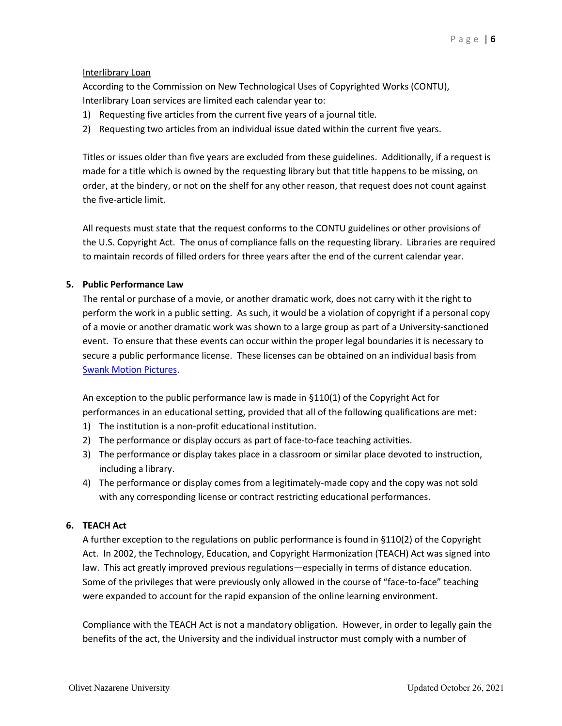## Interlibrary Loan

According to the Commission on New Technological Uses of Copyrighted Works (CONTU), Interlibrary Loan services are limited each calendar year to:

- 1) Requesting five articles from the current five years of a journal title.
- 2) Requesting two articles from an individual issue dated within the current five years.

Titles or issues older than five years are excluded from these guidelines. Additionally, if a request is made for a title which is owned by the requesting library but that title happens to be missing, on order, at the bindery, or not on the shelf for any other reason, that request does not count against the five-article limit.

All requests must state that the request conforms to the CONTU guidelines or other provisions of the U.S. Copyright Act. The onus of compliance falls on the requesting library. Libraries are required to maintain records of filled orders for three years after the end of the current calendar year.

## **5. Public Performance Law**

The rental or purchase of a movie, or another dramatic work, does not carry with it the right to perform the work in a public setting. As such, it would be a violation of copyright if a personal copy of a movie or another dramatic work was shown to a large group as part of a University-sanctioned event. To ensure that these events can occur within the proper legal boundaries it is necessary to secure a public performance license. These licenses can be obtained on an individual basis from [Swank Motion Pictures.](https://www.swank.com/college-campus/)

An exception to the public performance law is made in §110(1) of the Copyright Act for performances in an educational setting, provided that all of the following qualifications are met:

- 1) The institution is a non-profit educational institution.
- 2) The performance or display occurs as part of face-to-face teaching activities.
- 3) The performance or display takes place in a classroom or similar place devoted to instruction, including a library.
- 4) The performance or display comes from a legitimately-made copy and the copy was not sold with any corresponding license or contract restricting educational performances.

## **6. TEACH Act**

A further exception to the regulations on public performance is found in §110(2) of the Copyright Act. In 2002, the Technology, Education, and Copyright Harmonization (TEACH) Act was signed into law. This act greatly improved previous regulations—especially in terms of distance education. Some of the privileges that were previously only allowed in the course of "face-to-face" teaching were expanded to account for the rapid expansion of the online learning environment.

Compliance with the TEACH Act is not a mandatory obligation. However, in order to legally gain the benefits of the act, the University and the individual instructor must comply with a number of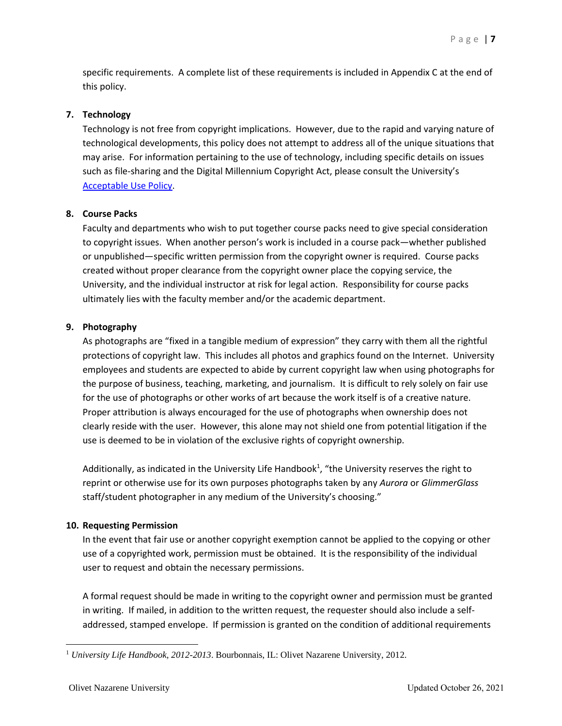specific requirements. A complete list of these requirements is included in Appendix C at the end of this policy.

## **7. Technology**

Technology is not free from copyright implications. However, due to the rapid and varying nature of technological developments, this policy does not attempt to address all of the unique situations that may arise. For information pertaining to the use of technology, including specific details on issues such as file-sharing and the Digital Millennium Copyright Act, please consult the University's [Acceptable Use Policy.](http://it.olivet.edu/sites/default/files/media/documents/AcceptableUsePolicy.pdf)

## **8. Course Packs**

Faculty and departments who wish to put together course packs need to give special consideration to copyright issues. When another person's work is included in a course pack—whether published or unpublished—specific written permission from the copyright owner is required. Course packs created without proper clearance from the copyright owner place the copying service, the University, and the individual instructor at risk for legal action. Responsibility for course packs ultimately lies with the faculty member and/or the academic department.

## **9. Photography**

As photographs are "fixed in a tangible medium of expression" they carry with them all the rightful protections of copyright law. This includes all photos and graphics found on the Internet. University employees and students are expected to abide by current copyright law when using photographs for the purpose of business, teaching, marketing, and journalism. It is difficult to rely solely on fair use for the use of photographs or other works of art because the work itself is of a creative nature. Proper attribution is always encouraged for the use of photographs when ownership does not clearly reside with the user. However, this alone may not shield one from potential litigation if the use is deemed to be in violation of the exclusive rights of copyright ownership.

Additionally, as indicated in the University Life Handbook<sup>1</sup>, "the University reserves the right to reprint or otherwise use for its own purposes photographs taken by any *Aurora* or *GlimmerGlass* staff/student photographer in any medium of the University's choosing."

## **10. Requesting Permission**

In the event that fair use or another copyright exemption cannot be applied to the copying or other use of a copyrighted work, permission must be obtained. It is the responsibility of the individual user to request and obtain the necessary permissions.

A formal request should be made in writing to the copyright owner and permission must be granted in writing. If mailed, in addition to the written request, the requester should also include a selfaddressed, stamped envelope. If permission is granted on the condition of additional requirements

<sup>1</sup> *University Life Handbook, 2012-2013*. Bourbonnais, IL: Olivet Nazarene University, 2012.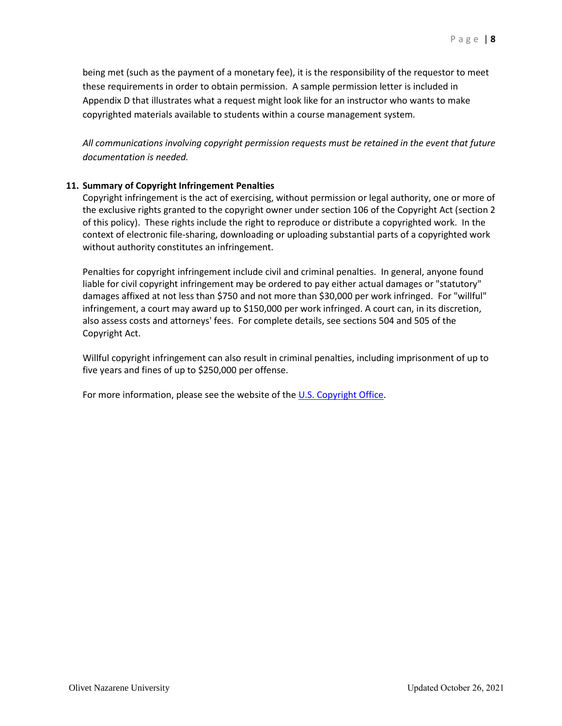being met (such as the payment of a monetary fee), it is the responsibility of the requestor to meet these requirements in order to obtain permission. A sample permission letter is included in Appendix D that illustrates what a request might look like for an instructor who wants to make copyrighted materials available to students within a course management system.

*All communications involving copyright permission requests must be retained in the event that future documentation is needed.*

## **11. Summary of Copyright Infringement Penalties**

Copyright infringement is the act of exercising, without permission or legal authority, one or more of the exclusive rights granted to the copyright owner under section 106 of the Copyright Act (section 2 of this policy). These rights include the right to reproduce or distribute a copyrighted work. In the context of electronic file-sharing, downloading or uploading substantial parts of a copyrighted work without authority constitutes an infringement.

Penalties for copyright infringement include civil and criminal penalties. In general, anyone found liable for civil copyright infringement may be ordered to pay either actual damages or "statutory" damages affixed at not less than \$750 and not more than \$30,000 per work infringed. For "willful" infringement, a court may award up to \$150,000 per work infringed. A court can, in its discretion, also assess costs and attorneys' fees. For complete details, see sections 504 and 505 of the Copyright Act.

Willful copyright infringement can also result in criminal penalties, including imprisonment of up to five years and fines of up to \$250,000 per offense.

For more information, please see the website of the [U.S. Copyright Office.](http://www.copyright.gov/)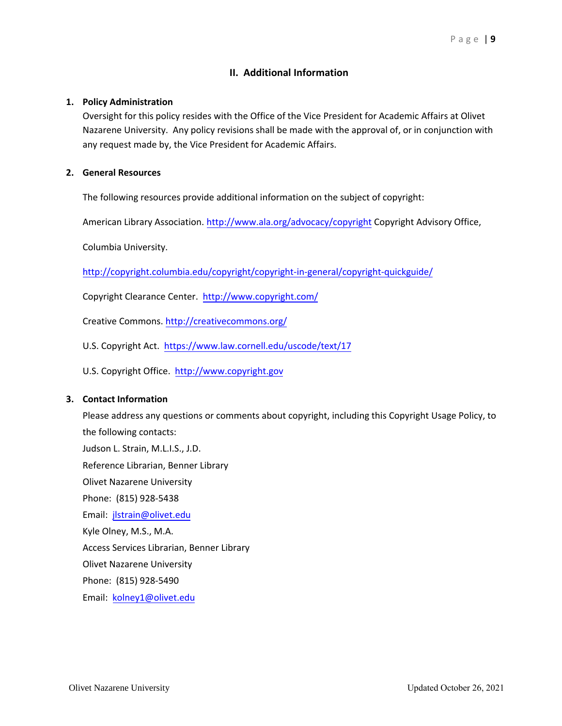## **II. Additional Information**

## **1. Policy Administration**

Oversight for this policy resides with the Office of the Vice President for Academic Affairs at Olivet Nazarene University. Any policy revisions shall be made with the approval of, or in conjunction with any request made by, the Vice President for Academic Affairs.

## **2. General Resources**

The following resources provide additional information on the subject of copyright:

American Library Association.<http://www.ala.org/advocacy/copyright> Copyright Advisory Office,

[Columbia University.](http://copyright.columbia.edu/copyright/copyright-in-general/copyright-quickguide/)

http://copyright.columbia.edu/copyright/copyright-in-general/copyright-quickguide/

Copyright Clearance Center.<http://www.copyright.com/>

Creative Commons.<http://creativecommons.org/>

U.S. Copyright Act. https[://www.law.cornell.edu/uscode/](https://www.law.cornell.edu/uscode/text/17)text/17

U.S. Copyright Office. [http://www.copyright.gov](http://www.copyright.gov/)

## **3. Contact Information**

Please address any questions or comments about copyright, including this Copyright Usage Policy, to the following contacts: Judson L. Strain, M.L.I.S., J.D. Reference Librarian, Benner Library Olivet Nazarene University Phone: (815) 928-5438 Email: [jlstrain@olivet.edu](mailto:jlstrain@olivet.edu) Kyle Olney, M.S., M.A. Access Services Librarian, Benner Library Olivet Nazarene University Phone: (815) 928-5490

Email: [kolney1@olivet.edu](mailto:kolney1@olivet.edu)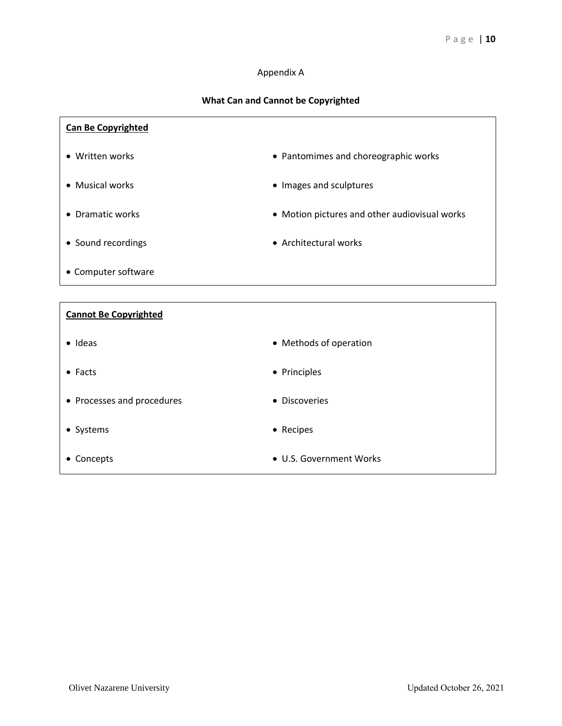## Appendix A

## **What Can and Cannot be Copyrighted**

| <b>Can Be Copyrighted</b>    |                                               |
|------------------------------|-----------------------------------------------|
| • Written works              | • Pantomimes and choreographic works          |
| • Musical works              | • Images and sculptures                       |
| • Dramatic works             | • Motion pictures and other audiovisual works |
| • Sound recordings           | • Architectural works                         |
| • Computer software          |                                               |
|                              |                                               |
|                              |                                               |
| <b>Cannot Be Copyrighted</b> |                                               |
| $\bullet$ Ideas              | • Methods of operation                        |
| $\bullet$ Facts              | • Principles                                  |
| • Processes and procedures   | • Discoveries                                 |
| • Systems                    | • Recipes                                     |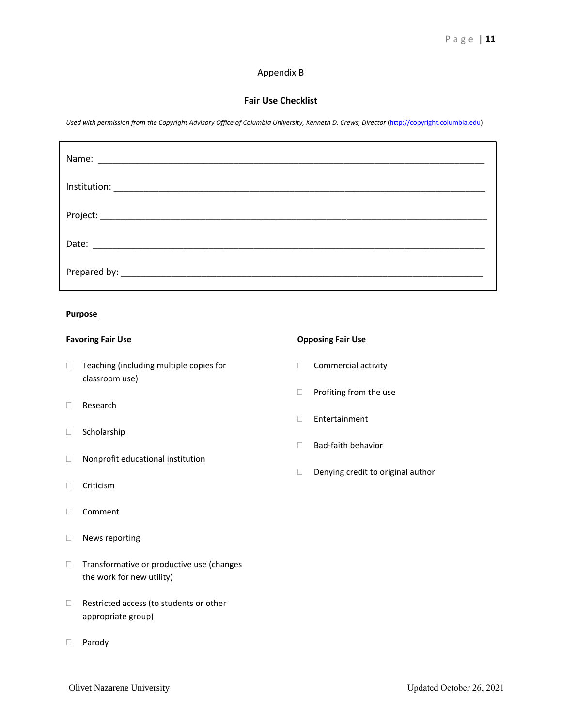## Appendix B

## **Fair Use Checklist**

*Used with permission from the Copyright Advisory Office of Columbia University, Kenneth D. Crews, Director* [\(http://copyright.columbia.edu\)](http://copyright.columbia.edu/)

### **Purpose**

- $\Box$  Teaching (including multiple copies for  $\Box$  Commercial activity classroom use)
- Research
- □ Scholarship
- Nonprofit educational institution
- □ Criticism
- Comment
- News reporting
- $\Box$  Transformative or productive use (changes the work for new utility)
- □ Restricted access (to students or other appropriate group)
- D Parody

## **Favoring Fair Use Compare Compare Compare Compare Compare Compare Compare Compare Compare Compare Compare Compare Compare Compare Compare Compare Compare Compare Compare Compare Compare Compare Compare Compare Compare Com**

- 
- $\Box$  Profiting from the use
- Entertainment
- □ Bad-faith behavior
- Denying credit to original author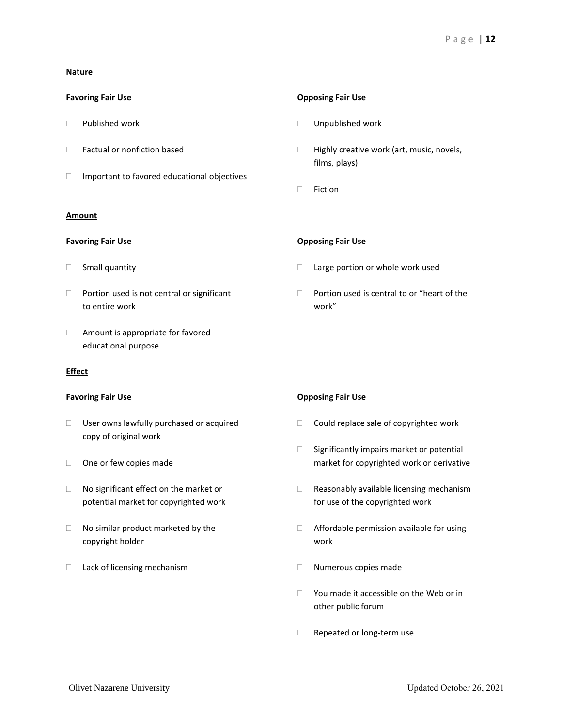## **Nature**

- 
- 
- $\Box$  Important to favored educational objectives

## **Amount**

- 
- to entire work work"
- Amount is appropriate for favored educational purpose

## **Effect**

- $\Box$  User owns lawfully purchased or acquired  $\Box$  Could replace sale of copyrighted work copy of original work
- 
- potential market for copyrighted work for use of the copyrighted work
- copyright holder work
- □ Lack of licensing mechanism <br>
□ Numerous copies made

### **Favoring Fair Use Compared Accord Fair Use** Opposing Fair Use

- $\Box$  Published work  $\Box$  Unpublished work
- $\Box$  Factual or nonfiction based  $\Box$  Highly creative work (art, music, novels, films, plays)
	- □ Fiction

## **Favoring Fair Use Compared Transformation Compared Transformation Composing Fair Use**

- □ Small quantity **Example 20** arge portion or whole work used
- $\Box$  Portion used is not central or significant  $\Box$  Portion used is central to or "heart of the

### **Favoring Fair Use Compared Accord Fair Use Compared Accord Fair Use**

- 
- $\Box$  Significantly impairs market or potential □ One or few copies made market for copyrighted work or derivative
- $\Box$  No significant effect on the market or  $\Box$  Reasonably available licensing mechanism
- $\Box$  No similar product marketed by the  $\Box$  Affordable permission available for using
	-
	- $\Box$  You made it accessible on the Web or in other public forum
	- Repeated or long-term use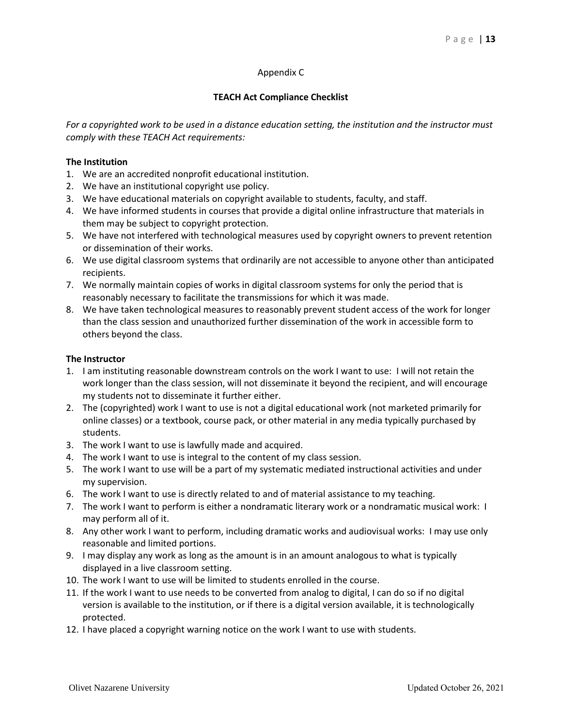## Appendix C

## **TEACH Act Compliance Checklist**

*For a copyrighted work to be used in a distance education setting, the institution and the instructor must comply with these TEACH Act requirements:*

## **The Institution**

- 1. We are an accredited nonprofit educational institution.
- 2. We have an institutional copyright use policy.
- 3. We have educational materials on copyright available to students, faculty, and staff.
- 4. We have informed students in courses that provide a digital online infrastructure that materials in them may be subject to copyright protection.
- 5. We have not interfered with technological measures used by copyright owners to prevent retention or dissemination of their works.
- 6. We use digital classroom systems that ordinarily are not accessible to anyone other than anticipated recipients.
- 7. We normally maintain copies of works in digital classroom systems for only the period that is reasonably necessary to facilitate the transmissions for which it was made.
- 8. We have taken technological measures to reasonably prevent student access of the work for longer than the class session and unauthorized further dissemination of the work in accessible form to others beyond the class.

## **The Instructor**

- 1. I am instituting reasonable downstream controls on the work I want to use: I will not retain the work longer than the class session, will not disseminate it beyond the recipient, and will encourage my students not to disseminate it further either.
- 2. The (copyrighted) work I want to use is not a digital educational work (not marketed primarily for online classes) or a textbook, course pack, or other material in any media typically purchased by students.
- 3. The work I want to use is lawfully made and acquired.
- 4. The work I want to use is integral to the content of my class session.
- 5. The work I want to use will be a part of my systematic mediated instructional activities and under my supervision.
- 6. The work I want to use is directly related to and of material assistance to my teaching.
- 7. The work I want to perform is either a nondramatic literary work or a nondramatic musical work: I may perform all of it.
- 8. Any other work I want to perform, including dramatic works and audiovisual works: I may use only reasonable and limited portions.
- 9. I may display any work as long as the amount is in an amount analogous to what is typically displayed in a live classroom setting.
- 10. The work I want to use will be limited to students enrolled in the course.
- 11. If the work I want to use needs to be converted from analog to digital, I can do so if no digital version is available to the institution, or if there is a digital version available, it is technologically protected.
- 12. I have placed a copyright warning notice on the work I want to use with students.